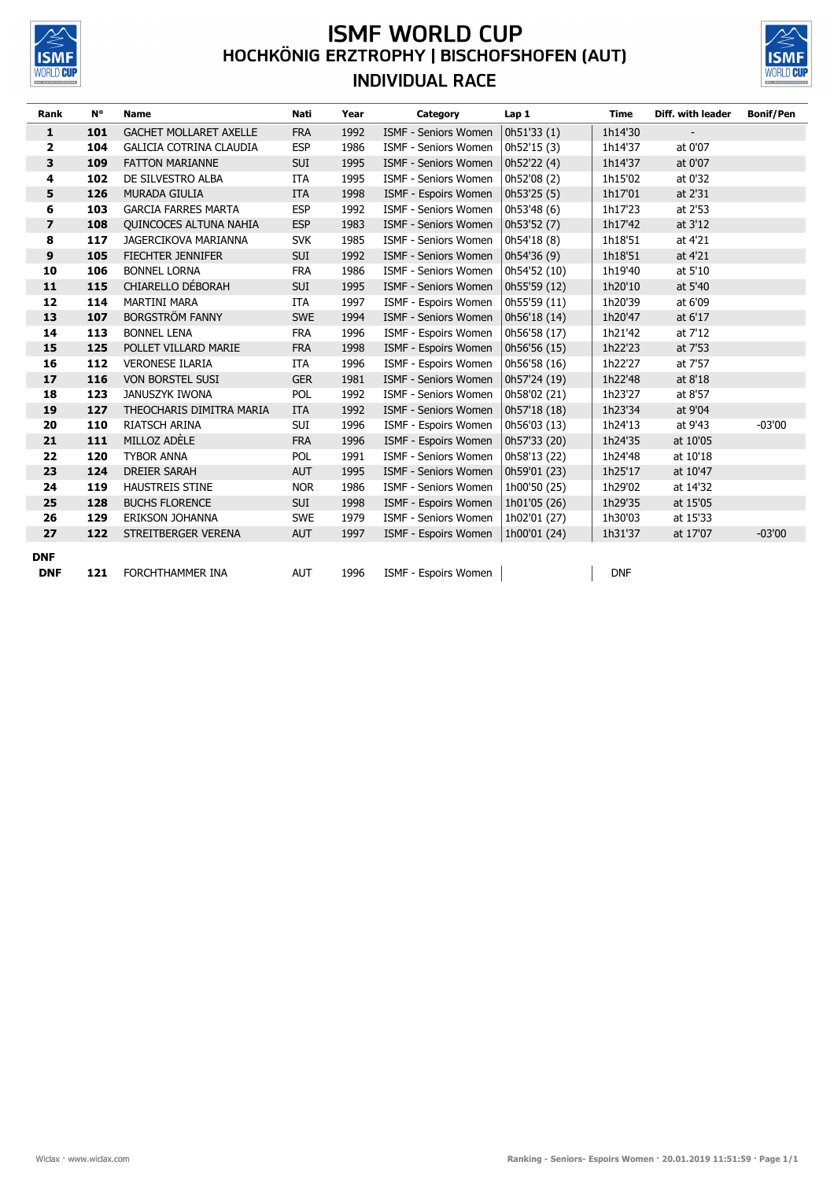

## **ISMF WORLD CUP**<br>HOCHKÖNIG ERZTROPHY | BISCHOFSHOFEN (AUT) **INDIVIDUAL RACE**



| Rank           | N°  | <b>Name</b>                    | Nati       | Year | Category                    | Lap 1        | Time       | Diff. with leader        | <b>Bonif/Pen</b> |
|----------------|-----|--------------------------------|------------|------|-----------------------------|--------------|------------|--------------------------|------------------|
| 1              | 101 | <b>GACHET MOLLARET AXELLE</b>  | <b>FRA</b> | 1992 | <b>ISMF - Seniors Women</b> | 0h51'33(1)   | 1h14'30    | $\overline{\phantom{a}}$ |                  |
| $\overline{2}$ | 104 | <b>GALICIA COTRINA CLAUDIA</b> | <b>ESP</b> | 1986 | ISMF - Seniors Women        | 0h52'15 (3)  | 1h14'37    | at 0'07                  |                  |
| 3              | 109 | <b>FATTON MARIANNE</b>         | SUI        | 1995 | ISMF - Seniors Women        | 0h52'22 (4)  | 1h14'37    | at 0'07                  |                  |
| 4              | 102 | DE SILVESTRO ALBA              | ITA        | 1995 | <b>ISMF - Seniors Women</b> | 0h52'08 (2)  | 1h15'02    | at 0'32                  |                  |
| 5              | 126 | <b>MURADA GIULIA</b>           | <b>ITA</b> | 1998 | ISMF - Espoirs Women        | 0h53'25(5)   | 1h17'01    | at 2'31                  |                  |
| 6              | 103 | <b>GARCIA FARRES MARTA</b>     | <b>ESP</b> | 1992 | <b>ISMF - Seniors Women</b> | 0h53'48 (6)  | 1h17'23    | at 2'53                  |                  |
| $\overline{z}$ | 108 | <b>OUINCOCES ALTUNA NAHIA</b>  | <b>ESP</b> | 1983 | ISMF - Seniors Women        | 0h53'52 (7)  | 1h17'42    | at 3'12                  |                  |
| 8              | 117 | <b>JAGERCIKOVA MARIANNA</b>    | <b>SVK</b> | 1985 | ISMF - Seniors Women        | 0h54'18 (8)  | 1h18'51    | at 4'21                  |                  |
| 9              | 105 | <b>FIECHTER JENNIFER</b>       | <b>SUI</b> | 1992 | ISMF - Seniors Women        | 0h54'36 (9)  | 1h18'51    | at 4'21                  |                  |
| 10             | 106 | <b>BONNEL LORNA</b>            | <b>FRA</b> | 1986 | <b>ISMF - Seniors Women</b> | 0h54'52 (10) | 1h19'40    | at 5'10                  |                  |
| 11             | 115 | CHIARELLO DÉBORAH              | <b>SUI</b> | 1995 | ISMF - Seniors Women        | 0h55'59 (12) | 1h20'10    | at 5'40                  |                  |
| 12             | 114 | <b>MARTINI MARA</b>            | <b>ITA</b> | 1997 | ISMF - Espoirs Women        | 0h55'59 (11) | 1h20'39    | at 6'09                  |                  |
| 13             | 107 | <b>BORGSTRÖM FANNY</b>         | <b>SWE</b> | 1994 | ISMF - Seniors Women        | 0h56'18 (14) | 1h20'47    | at 6'17                  |                  |
| 14             | 113 | <b>BONNEL LENA</b>             | <b>FRA</b> | 1996 | ISMF - Espoirs Women        | 0h56'58 (17) | 1h21'42    | at 7'12                  |                  |
| 15             | 125 | POLLET VILLARD MARIE           | <b>FRA</b> | 1998 | ISMF - Espoirs Women        | 0h56'56 (15) | 1h22'23    | at 7'53                  |                  |
| 16             | 112 | <b>VERONESE ILARIA</b>         | ITA        | 1996 | ISMF - Espoirs Women        | 0h56'58 (16) | 1h22'27    | at 7'57                  |                  |
| 17             | 116 | <b>VON BORSTEL SUSI</b>        | <b>GER</b> | 1981 | <b>ISMF - Seniors Women</b> | 0h57'24 (19) | 1h22'48    | at 8'18                  |                  |
| 18             | 123 | JANUSZYK IWONA                 | POL        | 1992 | ISMF - Seniors Women        | 0h58'02 (21) | 1h23'27    | at 8'57                  |                  |
| 19             | 127 | THEOCHARIS DIMITRA MARIA       | <b>ITA</b> | 1992 | <b>ISMF - Seniors Women</b> | 0h57'18 (18) | 1h23'34    | at 9'04                  |                  |
| 20             | 110 | <b>RIATSCH ARINA</b>           | SUI        | 1996 | ISMF - Espoirs Women        | 0h56'03 (13) | 1h24'13    | at 9'43                  | $-03'00$         |
| 21             | 111 | MILLOZ ADÈLE                   | <b>FRA</b> | 1996 | ISMF - Espoirs Women        | 0h57'33 (20) | 1h24'35    | at 10'05                 |                  |
| 22             | 120 | <b>TYBOR ANNA</b>              | POL        | 1991 | ISMF - Seniors Women        | 0h58'13 (22) | 1h24'48    | at 10'18                 |                  |
| 23             | 124 | <b>DREIER SARAH</b>            | <b>AUT</b> | 1995 | ISMF - Seniors Women        | 0h59'01 (23) | 1h25'17    | at 10'47                 |                  |
| 24             | 119 | <b>HAUSTREIS STINE</b>         | <b>NOR</b> | 1986 | <b>ISMF - Seniors Women</b> | 1h00'50 (25) | 1h29'02    | at 14'32                 |                  |
| 25             | 128 | <b>BUCHS FLORENCE</b>          | <b>SUI</b> | 1998 | ISMF - Espoirs Women        | 1h01'05 (26) | 1h29'35    | at 15'05                 |                  |
| 26             | 129 | <b>ERIKSON JOHANNA</b>         | <b>SWE</b> | 1979 | <b>ISMF - Seniors Women</b> | 1h02'01 (27) | 1h30'03    | at 15'33                 |                  |
| 27             | 122 | STREITBERGER VERENA            | <b>AUT</b> | 1997 | ISMF - Espoirs Women        | 1h00'01 (24) | 1h31'37    | at 17'07                 | $-03'00$         |
| <b>DNF</b>     |     |                                |            |      |                             |              |            |                          |                  |
| <b>DNF</b>     | 121 | FORCHTHAMMER INA               | <b>AUT</b> | 1996 | ISMF - Espoirs Women        |              | <b>DNF</b> |                          |                  |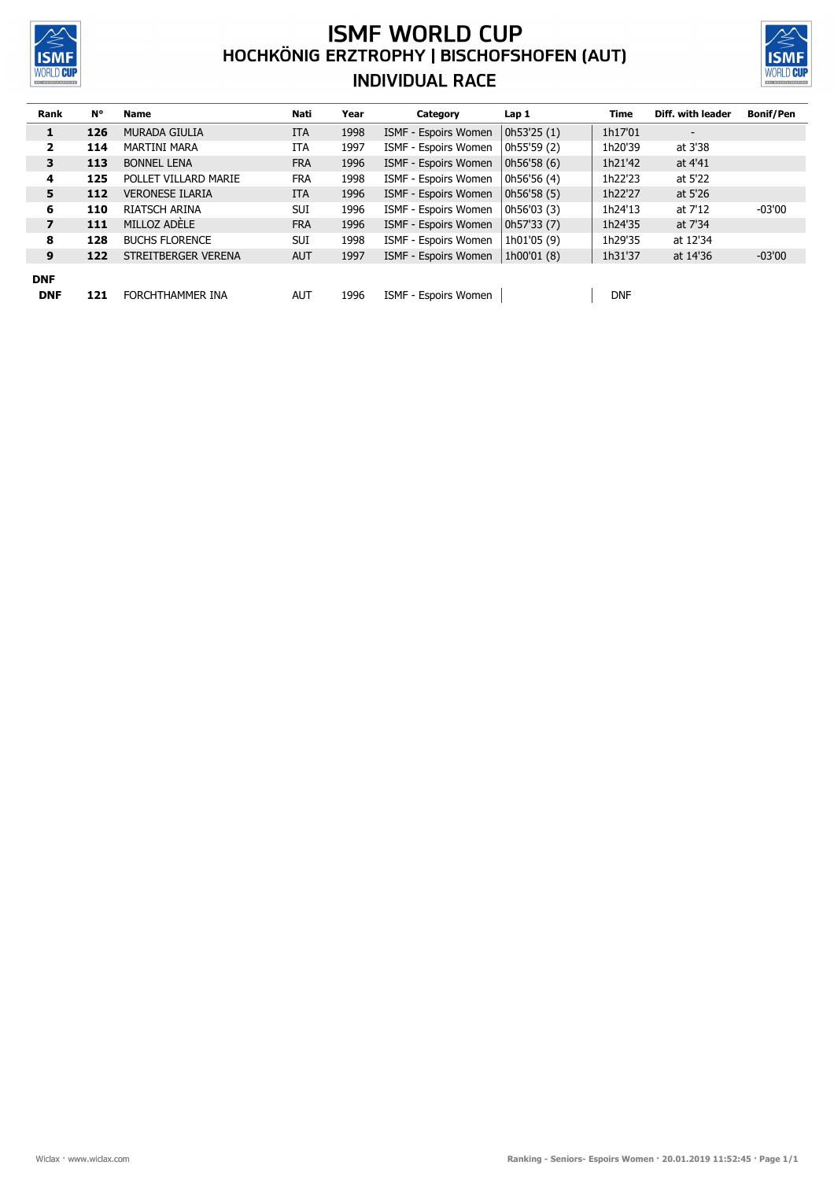

## **ISMF WORLD CUP**<br>HOCHKÖNIG ERZTROPHY | BISCHOFSHOFEN (AUT) **INDIVIDUAL RACE**



| Rank                    | N°  | <b>Name</b>            | Nati       | Year | Category                    | Lap 1       | Time       | Diff. with leader        | <b>Bonif/Pen</b> |
|-------------------------|-----|------------------------|------------|------|-----------------------------|-------------|------------|--------------------------|------------------|
| 1                       | 126 | <b>MURADA GIULIA</b>   | <b>ITA</b> | 1998 | ISMF - Espoirs Women        | 0h53'25(1)  | 1h17'01    | $\overline{\phantom{0}}$ |                  |
| $\mathbf{z}$            | 114 | <b>MARTINI MARA</b>    | ITA        | 1997 | ISMF - Espoirs Women        | 0h55'59 (2) | 1h20'39    | at 3'38                  |                  |
| 3                       | 113 | <b>BONNEL LENA</b>     | <b>FRA</b> | 1996 | ISMF - Espoirs Women        | 0h56'58(6)  | 1h21'42    | at 4'41                  |                  |
| 4                       | 125 | POLLET VILLARD MARIE   | <b>FRA</b> | 1998 | ISMF - Espoirs Women        | 0h56'56 (4) | 1h22'23    | at 5'22                  |                  |
| 5                       | 112 | <b>VERONESE ILARIA</b> | <b>ITA</b> | 1996 | ISMF - Espoirs Women        | 0h56'58(5)  | 1h22'27    | at 5'26                  |                  |
| 6                       | 110 | <b>RIATSCH ARINA</b>   | <b>SUI</b> | 1996 | ISMF - Espoirs Women        | 0h56'03 (3) | 1h24'13    | at 7'12                  | $-03'00$         |
| $\overline{\mathbf{z}}$ | 111 | MILLOZ ADELE           | <b>FRA</b> | 1996 | ISMF - Espoirs Women        | 0h57'33(7)  | 1h24'35    | at 7'34                  |                  |
| 8                       | 128 | <b>BUCHS FLORENCE</b>  | <b>SUI</b> | 1998 | <b>ISMF - Espoirs Women</b> | 1h01'05 (9) | 1h29'35    | at 12'34                 |                  |
| 9                       | 122 | STREITBERGER VERENA    | <b>AUT</b> | 1997 | ISMF - Espoirs Women        | 1h00'01 (8) | 1h31'37    | at 14'36                 | $-03'00$         |
| <b>DNF</b>              |     |                        |            |      |                             |             |            |                          |                  |
| <b>DNF</b>              | 121 | FORCHTHAMMER INA       | <b>AUT</b> | 1996 | ISMF - Espoirs Women        |             | <b>DNF</b> |                          |                  |